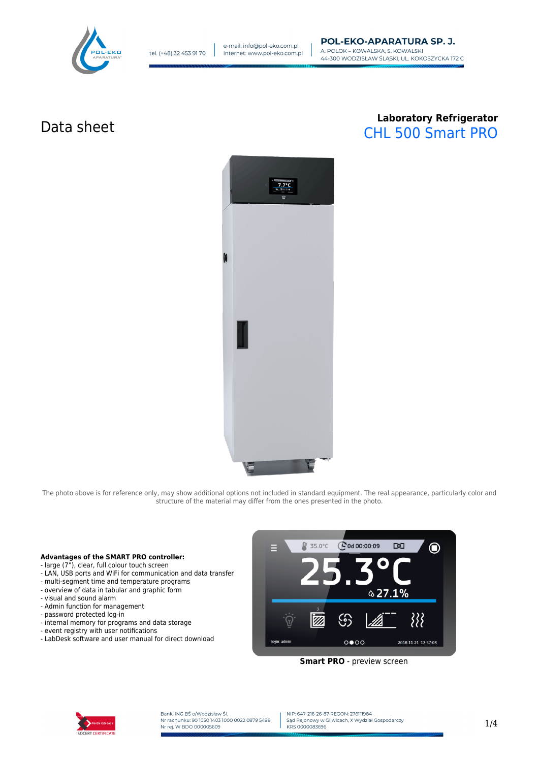

# Data sheet **Laboratory Refrigerator** CHL 500 Smart PRO



The photo above is for reference only, may show additional options not included in standard equipment. The real appearance, particularly color and structure of the material may differ from the ones presented in the photo.

#### **Advantages of the SMART PRO controller:**

- large (7"), clear, full colour touch screen
- LAN, USB ports and WiFi for communication and data transfer
- multi-segment time and temperature programs
- overview of data in tabular and graphic form
- visual and sound alarm
- Admin function for management
- password protected log-in
- internal memory for programs and data storage
- event registry with user notifications
- LabDesk software and user manual for direct download



**Smart PRO** - preview screen



Bank: ING BŚ o/Wodzisław Śl.<br>Nr rachunku: 90 1050 1403 1000 0022 0879 5498 Nr rej. W BDO 000005609

NIP: 647-216-26-87 REGON: 276111984 Sad Rejonowy w Gliwicach, X Wydział Gospodarczy KRS 0000083696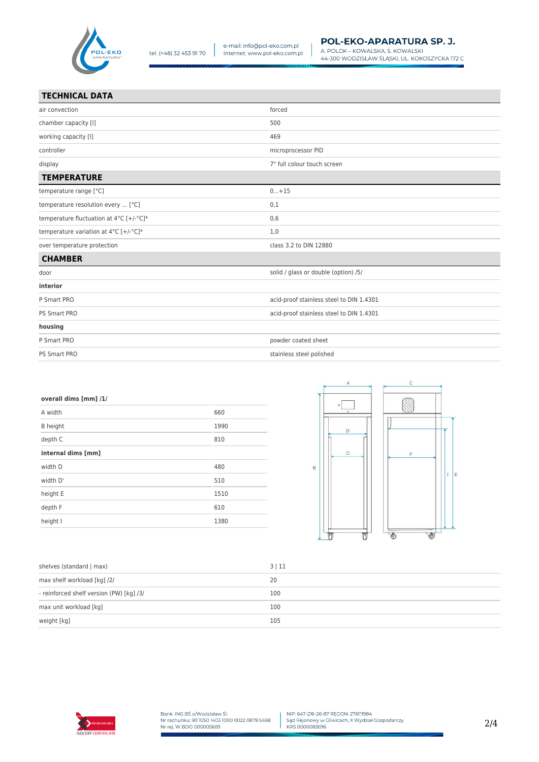

PS Smart PRO

| <b>TECHNICAL DATA</b>                   |                                          |
|-----------------------------------------|------------------------------------------|
| air convection                          | forced                                   |
| chamber capacity [I]                    | 500                                      |
| working capacity [I]                    | 469                                      |
| controller                              | microprocessor PID                       |
| display                                 | 7" full colour touch screen              |
| <b>TEMPERATURE</b>                      |                                          |
| temperature range [°C]                  | $0+15$                                   |
| temperature resolution every  [°C]      | 0,1                                      |
| temperature fluctuation at 4°C [+/-°C]* | 0,6                                      |
| temperature variation at 4°C [+/-°C]*   | 1,0                                      |
| over temperature protection             | class 3.2 to DIN 12880                   |
| <b>CHAMBER</b>                          |                                          |
| door                                    | solid / glass or double (option) /5/     |
| interior                                |                                          |
| P Smart PRO                             | acid-proof stainless steel to DIN 1.4301 |
| PS Smart PRO                            | acid-proof stainless steel to DIN 1.4301 |
| housing                                 |                                          |
| P Smart PRO                             | powder coated sheet                      |

| stainless steel polished |  |
|--------------------------|--|
|                          |  |

| overall dims [mm] /1/ |      |
|-----------------------|------|
| A width               | 660  |
| <b>B</b> height       | 1990 |
| depth C               | 810  |
| internal dims [mm]    |      |
| width D               | 480  |
| width D'              | 510  |
| height E              | 1510 |
| depth F               | 610  |
| height I              | 1380 |



| shelves (standard   max)                 | 3 11 |
|------------------------------------------|------|
| max shelf workload [kg] /2/              | 20   |
| - reinforced shelf version (PW) [kg] /3/ | 100  |
| max unit workload [kg]                   | 100  |
| weight [kg]                              | 105  |

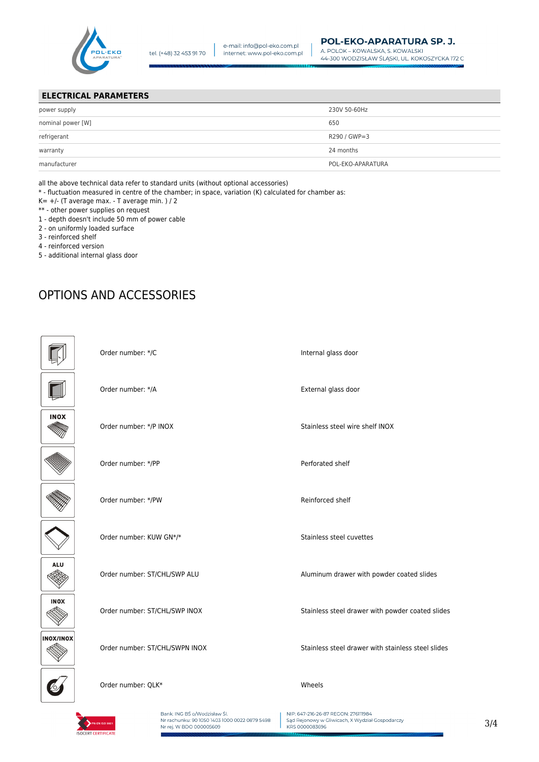

### **ELECTRICAL PARAMETERS**

| power supply      | 230V 50-60Hz      |
|-------------------|-------------------|
| nominal power [W] | 650               |
| refrigerant       | R290 / GWP=3      |
| warranty          | 24 months         |
| manufacturer      | POL-EKO-APARATURA |

all the above technical data refer to standard units (without optional accessories)

\* - fluctuation measured in centre of the chamber; in space, variation (K) calculated for chamber as:

- $K= +/-$  (T average max. T average min. ) / 2
- \*\* other power supplies on request
- 1 depth doesn't include 50 mm of power cable
- 2 on uniformly loaded surface
- 3 reinforced shelf
- 4 reinforced version
- 5 additional internal glass door

## OPTIONS AND ACCESSORIES

|             | Order number: */C              | Internal glass door                                |
|-------------|--------------------------------|----------------------------------------------------|
|             | Order number: */A              | External glass door                                |
| <b>INOX</b> | Order number: */P INOX         | Stainless steel wire shelf INOX                    |
|             | Order number: */PP             | Perforated shelf                                   |
|             | Order number: */PW             | Reinforced shelf                                   |
|             | Order number: KUW GN*/*        | Stainless steel cuvettes                           |
| <b>ALU</b>  | Order number: ST/CHL/SWP ALU   | Aluminum drawer with powder coated slides          |
| <b>INOX</b> | Order number: ST/CHL/SWP INOX  | Stainless steel drawer with powder coated slides   |
| INOX/INOX   | Order number: ST/CHL/SWPN INOX | Stainless steel drawer with stainless steel slides |
|             | Order number: QLK*             | Wheels                                             |
|             |                                |                                                    |

**ISOCEPT CERTIFICAT** 

Bank: ING BŚ o/Wodzisław Śl.<br>Nr rachunku: 90 1050 1403 1000 0022 0879 5498 Nr rej. W BDO 000005609

NIP: 647-216-26-87 REGON: 276111984 Sąd Rejonowy w Gliwicach, X Wydział Gospodarczy<br>KRS 0000083696